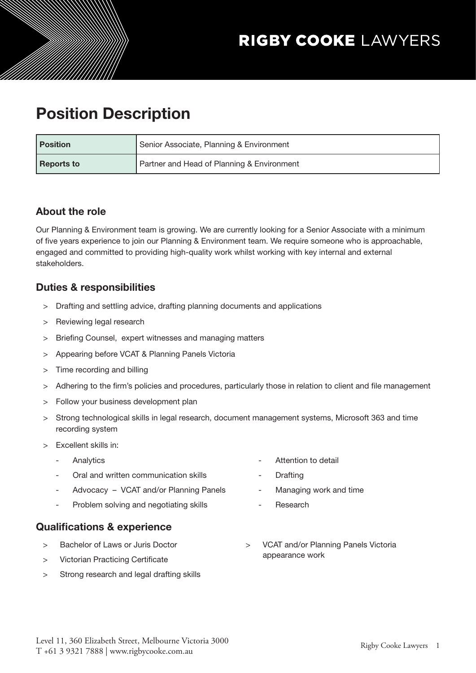# Position Description

| <b>Position</b> | Senior Associate, Planning & Environment   |
|-----------------|--------------------------------------------|
| Reports to      | Partner and Head of Planning & Environment |

### About the role

Our Planning & Environment team is growing. We are currently looking for a Senior Associate with a minimum of five years experience to join our Planning & Environment team. We require someone who is approachable, engaged and committed to providing high-quality work whilst working with key internal and external stakeholders.

### Duties & responsibilities

- > Drafting and settling advice, drafting planning documents and applications
- > Reviewing legal research
- > Briefing Counsel, expert witnesses and managing matters
- > Appearing before VCAT & Planning Panels Victoria
- > Time recording and billing
- > Adhering to the firm's policies and procedures, particularly those in relation to client and file management
- > Follow your business development plan
- > Strong technological skills in legal research, document management systems, Microsoft 363 and time recording system
- > Excellent skills in:
	- **Analytics**
	- Oral and written communication skills
	- Advocacy VCAT and/or Planning Panels
	- Problem solving and negotiating skills
- Attention to detail
- **Drafting**
- Managing work and time
- Research

### Qualifications & experience

- > Bachelor of Laws or Juris Doctor
- > Victorian Practicing Certificate
- > Strong research and legal drafting skills
- > VCAT and/or Planning Panels Victoria appearance work